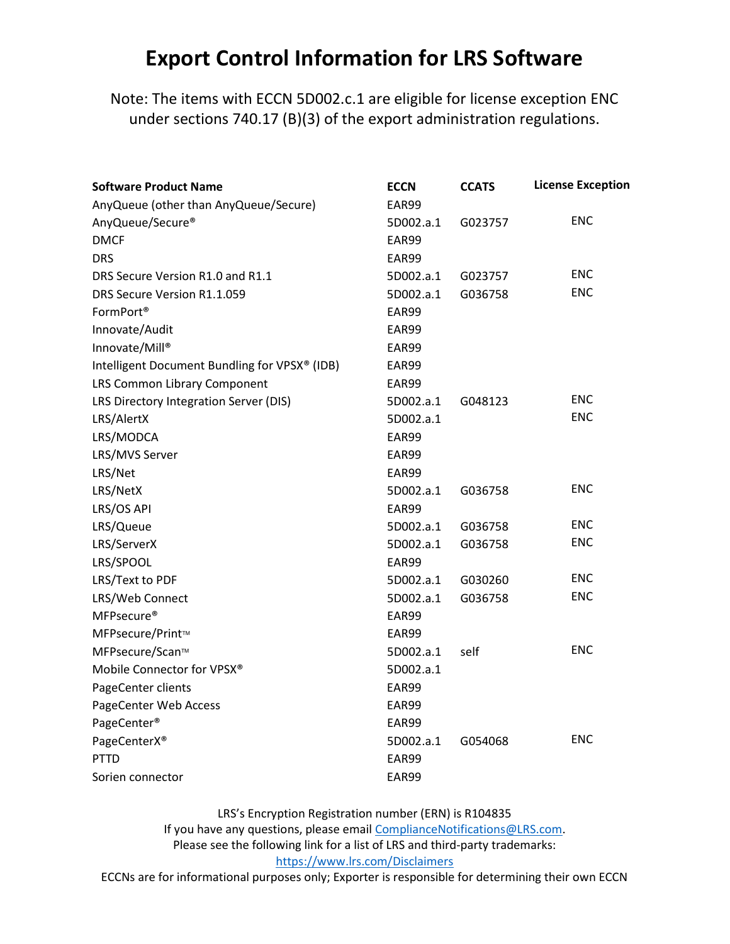## Export Control Information for LRS Software

Note: The items with ECCN 5D002.c.1 are eligible for license exception ENC under sections 740.17 (B)(3) of the export administration regulations.

| <b>Software Product Name</b>                  | <b>ECCN</b> | <b>CCATS</b> | <b>License Exception</b> |
|-----------------------------------------------|-------------|--------------|--------------------------|
| AnyQueue (other than AnyQueue/Secure)         | EAR99       |              |                          |
| AnyQueue/Secure®                              | 5D002.a.1   | G023757      | <b>ENC</b>               |
| <b>DMCF</b>                                   | EAR99       |              |                          |
| <b>DRS</b>                                    | EAR99       |              |                          |
| DRS Secure Version R1.0 and R1.1              | 5D002.a.1   | G023757      | <b>ENC</b>               |
| DRS Secure Version R1.1.059                   | 5D002.a.1   | G036758      | <b>ENC</b>               |
| FormPort <sup>®</sup>                         | EAR99       |              |                          |
| Innovate/Audit                                | EAR99       |              |                          |
| Innovate/Mill®                                | EAR99       |              |                          |
| Intelligent Document Bundling for VPSX® (IDB) | EAR99       |              |                          |
| LRS Common Library Component                  | EAR99       |              |                          |
| LRS Directory Integration Server (DIS)        | 5D002.a.1   | G048123      | <b>ENC</b>               |
| LRS/AlertX                                    | 5D002.a.1   |              | <b>ENC</b>               |
| LRS/MODCA                                     | EAR99       |              |                          |
| LRS/MVS Server                                | EAR99       |              |                          |
| LRS/Net                                       | EAR99       |              |                          |
| LRS/NetX                                      | 5D002.a.1   | G036758      | <b>ENC</b>               |
| LRS/OS API                                    | EAR99       |              |                          |
| LRS/Queue                                     | 5D002.a.1   | G036758      | <b>ENC</b>               |
| LRS/ServerX                                   | 5D002.a.1   | G036758      | <b>ENC</b>               |
| LRS/SPOOL                                     | EAR99       |              |                          |
| LRS/Text to PDF                               | 5D002.a.1   | G030260      | <b>ENC</b>               |
| LRS/Web Connect                               | 5D002.a.1   | G036758      | <b>ENC</b>               |
| MFPsecure <sup>®</sup>                        | EAR99       |              |                          |
| MFPsecure/Print™                              | EAR99       |              |                          |
| MFPsecure/Scan™                               | 5D002.a.1   | self         | <b>ENC</b>               |
| Mobile Connector for VPSX®                    | 5D002.a.1   |              |                          |
| PageCenter clients                            | EAR99       |              |                          |
| PageCenter Web Access                         | EAR99       |              |                          |
| PageCenter <sup>®</sup>                       | EAR99       |              |                          |
| PageCenterX®                                  | 5D002.a.1   | G054068      | <b>ENC</b>               |
| <b>PTTD</b>                                   | EAR99       |              |                          |
| Sorien connector                              | EAR99       |              |                          |

LRS's Encryption Registration number (ERN) is R104835 If you have any questions, please email ComplianceNotifications@LRS.com. Please see the following link for a list of LRS and third-party trademarks: https://www.lrs.com/Disclaimers

ECCNs are for informational purposes only; Exporter is responsible for determining their own ECCN